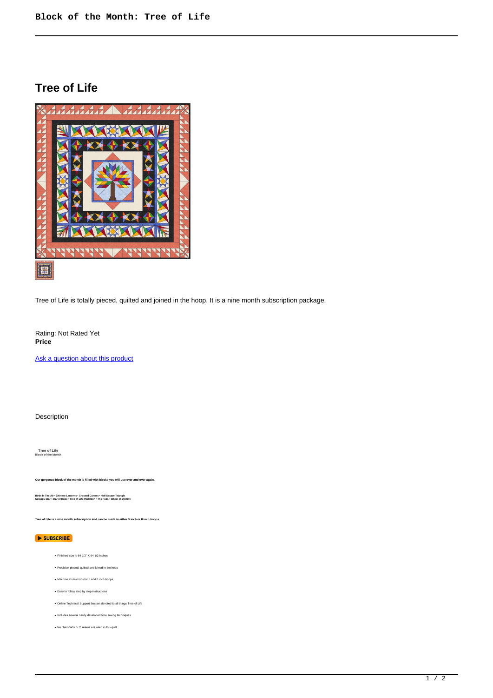## **Tree of Life**



Tree of Life is totally pieced, quilted and joined in the hoop. It is a nine month subscription package.

Rating: Not Rated Yet **Price** 

[Ask a question about this product](https://www.queenofstitching.com/index.php?option=com_virtuemart&view=productdetails&task=askquestion&virtuemart_product_id=151&virtuemart_category_id=22&tmpl=component)

## Description

 **Tree of Life Block of the Month** 

**Our gorgeous block of the month is filled with blocks you will use over and over again.**

**Birds In The Air • Chinese Lanterns • Crossed Canoes • Half Square Triangle Scrappy Star • Star of Hope • Tree of Life Medallion • The Palm • Wheel of Destiny**

**Tree of Life is a nine month subscription and can be made in either 5 inch or 8 inch hoops.**

## SUBSCRIBE

- Finished size is 64 1/2" X 64 1/2 inches
- Precision pieced, quilted and joined in the hoop
- Machine instructions for 5 and 8 inch hoops
- Easy to follow step by step instructions
- Online Technical Support Section devoted to all things Tree of Life
- Includes several newly developed time saving techniques
- No Diamonds or Y seams are used in this quilt